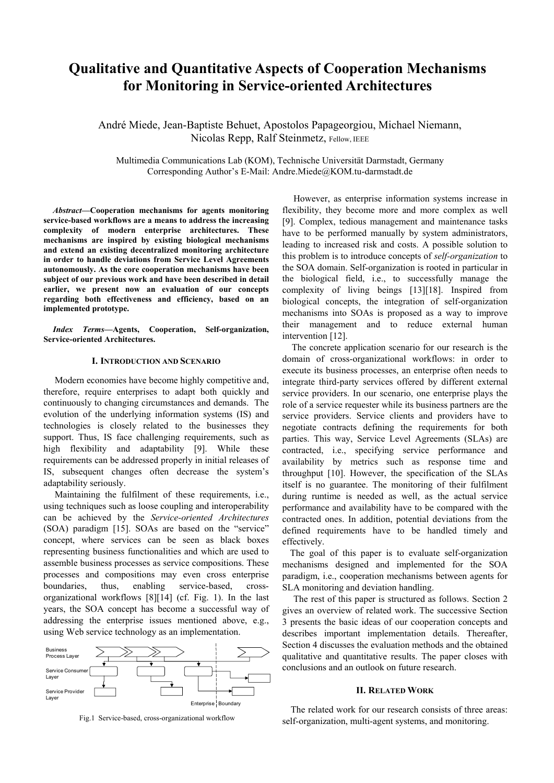# **Qualitative and Quantitative Aspects of Cooperation Mechanisms for Monitoring in Service-oriented Architectures**

André Miede, Jean-Baptiste Behuet, Apostolos Papageorgiou, Michael Niemann, Nicolas Repp, Ralf Steinmetz, Fellow, IEEE

Multimedia Communications Lab (KOM), Technische Universität Darmstadt, Germany Corresponding Author's E-Mail: Andre.Miede@KOM.tu-darmstadt.de

*Abstract***—Cooperation mechanisms for agents monitoring service-based workflows are a means to address the increasing complexity of modern enterprise architectures. These mechanisms are inspired by existing biological mechanisms and extend an existing decentralized monitoring architecture in order to handle deviations from Service Level Agreements autonomously. As the core cooperation mechanisms have been subject of our previous work and have been described in detail earlier, we present now an evaluation of our concepts regarding both effectiveness and efficiency, based on an implemented prototype.** 

*Index Terms***—Agents, Cooperation, Self-organization, Service-oriented Architectures.** 

# **I. INTRODUCTION AND SCENARIO**

Modern economies have become highly competitive and, therefore, require enterprises to adapt both quickly and continuously to changing circumstances and demands. The evolution of the underlying information systems (IS) and technologies is closely related to the businesses they support. Thus, IS face challenging requirements, such as high flexibility and adaptability [9]. While these requirements can be addressed properly in initial releases of IS, subsequent changes often decrease the system's adaptability seriously.

Maintaining the fulfilment of these requirements, i.e., using techniques such as loose coupling and interoperability can be achieved by the *Service-oriented Architectures* (SOA) paradigm [15]. SOAs are based on the "service" concept, where services can be seen as black boxes representing business functionalities and which are used to assemble business processes as service compositions. These processes and compositions may even cross enterprise boundaries, thus, enabling service-based, crossorganizational workflows [8][14] (cf. Fig. 1). In the last years, the SOA concept has become a successful way of addressing the enterprise issues mentioned above, e.g., using Web service technology as an implementation.





However, as enterprise information systems increase in flexibility, they become more and more complex as well [9]. Complex, tedious management and maintenance tasks have to be performed manually by system administrators, leading to increased risk and costs. A possible solution to this problem is to introduce concepts of *self-organization* to the SOA domain. Self-organization is rooted in particular in the biological field, i.e., to successfully manage the complexity of living beings [13][18]. Inspired from biological concepts, the integration of self-organization mechanisms into SOAs is proposed as a way to improve their management and to reduce external human intervention [12].

 The concrete application scenario for our research is the domain of cross-organizational workflows: in order to execute its business processes, an enterprise often needs to integrate third-party services offered by different external service providers. In our scenario, one enterprise plays the role of a service requester while its business partners are the service providers. Service clients and providers have to negotiate contracts defining the requirements for both parties. This way, Service Level Agreements (SLAs) are contracted, i.e., specifying service performance and availability by metrics such as response time and throughput [10]. However, the specification of the SLAs itself is no guarantee. The monitoring of their fulfilment during runtime is needed as well, as the actual service performance and availability have to be compared with the contracted ones. In addition, potential deviations from the defined requirements have to be handled timely and effectively.

The goal of this paper is to evaluate self-organization mechanisms designed and implemented for the SOA paradigm, i.e., cooperation mechanisms between agents for SLA monitoring and deviation handling.

The rest of this paper is structured as follows. Section 2 gives an overview of related work. The successive Section 3 presents the basic ideas of our cooperation concepts and describes important implementation details. Thereafter, Section 4 discusses the evaluation methods and the obtained qualitative and quantitative results. The paper closes with conclusions and an outlook on future research.

#### **II. RELATED WORK**

The related work for our research consists of three areas: self-organization, multi-agent systems, and monitoring.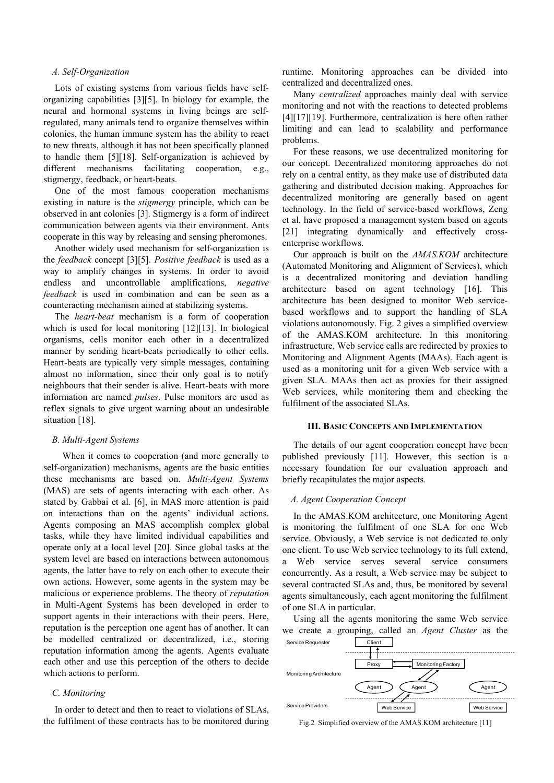# *A. Self-Organization*

Lots of existing systems from various fields have selforganizing capabilities [3][5]. In biology for example, the neural and hormonal systems in living beings are selfregulated, many animals tend to organize themselves within colonies, the human immune system has the ability to react to new threats, although it has not been specifically planned to handle them [5][18]. Self-organization is achieved by different mechanisms facilitating cooperation, e.g., stigmergy, feedback, or heart-beats.

One of the most famous cooperation mechanisms existing in nature is the *stigmergy* principle, which can be observed in ant colonies [3]. Stigmergy is a form of indirect communication between agents via their environment. Ants cooperate in this way by releasing and sensing pheromones.

Another widely used mechanism for self-organization is the *feedback* concept [3][5]. *Positive feedback* is used as a way to amplify changes in systems. In order to avoid endless and uncontrollable amplifications, *negative feedback* is used in combination and can be seen as a counteracting mechanism aimed at stabilizing systems.

The *heart-beat* mechanism is a form of cooperation which is used for local monitoring [12][13]. In biological organisms, cells monitor each other in a decentralized manner by sending heart-beats periodically to other cells. Heart-beats are typically very simple messages, containing almost no information, since their only goal is to notify neighbours that their sender is alive. Heart-beats with more information are named *pulses*. Pulse monitors are used as reflex signals to give urgent warning about an undesirable situation [18].

#### *B. Multi-Agent Systems*

 When it comes to cooperation (and more generally to self-organization) mechanisms, agents are the basic entities these mechanisms are based on. *Multi-Agent Systems* (MAS) are sets of agents interacting with each other. As stated by Gabbai et al. [6], in MAS more attention is paid on interactions than on the agents' individual actions. Agents composing an MAS accomplish complex global tasks, while they have limited individual capabilities and operate only at a local level [20]. Since global tasks at the system level are based on interactions between autonomous agents, the latter have to rely on each other to execute their own actions. However, some agents in the system may be malicious or experience problems. The theory of *reputation* in Multi-Agent Systems has been developed in order to support agents in their interactions with their peers. Here, reputation is the perception one agent has of another. It can be modelled centralized or decentralized, i.e., storing reputation information among the agents. Agents evaluate each other and use this perception of the others to decide which actions to perform.

#### *C. Monitoring*

In order to detect and then to react to violations of SLAs, the fulfilment of these contracts has to be monitored during runtime. Monitoring approaches can be divided into centralized and decentralized ones.

Many *centralized* approaches mainly deal with service monitoring and not with the reactions to detected problems [4][17][19]. Furthermore, centralization is here often rather limiting and can lead to scalability and performance problems.

For these reasons, we use decentralized monitoring for our concept. Decentralized monitoring approaches do not rely on a central entity, as they make use of distributed data gathering and distributed decision making. Approaches for decentralized monitoring are generally based on agent technology. In the field of service-based workflows, Zeng et al. have proposed a management system based on agents [21] integrating dynamically and effectively crossenterprise workflows.

Our approach is built on the *AMAS.KOM* architecture (Automated Monitoring and Alignment of Services), which is a decentralized monitoring and deviation handling architecture based on agent technology [16]. This architecture has been designed to monitor Web servicebased workflows and to support the handling of SLA violations autonomously. Fig. 2 gives a simplified overview of the AMAS.KOM architecture. In this monitoring infrastructure, Web service calls are redirected by proxies to Monitoring and Alignment Agents (MAAs). Each agent is used as a monitoring unit for a given Web service with a given SLA. MAAs then act as proxies for their assigned Web services, while monitoring them and checking the fulfilment of the associated SLAs.

# **III. BASIC CONCEPTS AND IMPLEMENTATION**

The details of our agent cooperation concept have been published previously [11]. However, this section is a necessary foundation for our evaluation approach and briefly recapitulates the major aspects.

#### *A. Agent Cooperation Concept*

In the AMAS.KOM architecture, one Monitoring Agent is monitoring the fulfilment of one SLA for one Web service. Obviously, a Web service is not dedicated to only one client. To use Web service technology to its full extend, a Web service serves several service consumers concurrently. As a result, a Web service may be subject to several contracted SLAs and, thus, be monitored by several agents simultaneously, each agent monitoring the fulfilment of one SLA in particular.

Using all the agents monitoring the same Web service we create a grouping, called an *Agent Cluster* as the



Fig.2 Simplified overview of the AMAS.KOM architecture [11]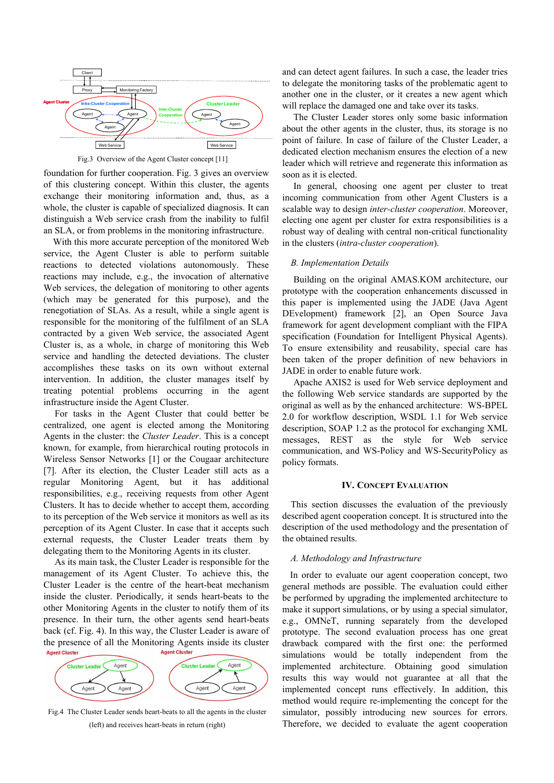



foundation for further cooperation. Fig. 3 gives an overview of this clustering concept. Within this cluster, the agents exchange their monitoring information and, thus, as a whole, the cluster is capable of specialized diagnosis. It can distinguish a Web service crash from the inability to fulfil an SLA, or from problems in the monitoring infrastructure.

With this more accurate perception of the monitored Web service, the Agent Cluster is able to perform suitable reactions to detected violations autonomously. These reactions may include, e.g., the invocation of alternative Web services, the delegation of monitoring to other agents (which may be generated for this purpose), and the renegotiation of SLAs. As a result, while a single agent is responsible for the monitoring of the fulfilment of an SLA contracted by a given Web service, the associated Agent Cluster is, as a whole, in charge of monitoring this Web service and handling the detected deviations. The cluster accomplishes these tasks on its own without external intervention. In addition, the cluster manages itself by treating potential problems occurring in the agent infrastructure inside the Agent Cluster.

For tasks in the Agent Cluster that could better be centralized, one agent is elected among the Monitoring Agents in the cluster: the *Cluster Leader*. This is a concept known, for example, from hierarchical routing protocols in Wireless Sensor Networks [1] or the Cougaar architecture [7]. After its election, the Cluster Leader still acts as a regular Monitoring Agent, but it has additional responsibilities, e.g., receiving requests from other Agent Clusters. It has to decide whether to accept them, according to its perception of the Web service it monitors as well as its perception of its Agent Cluster. In case that it accepts such external requests, the Cluster Leader treats them by delegating them to the Monitoring Agents in its cluster.

As its main task, the Cluster Leader is responsible for the management of its Agent Cluster. To achieve this, the Cluster Leader is the centre of the heart-beat mechanism inside the cluster. Periodically, it sends heart-beats to the other Monitoring Agents in the cluster to notify them of its presence. In their turn, the other agents send heart-beats back (cf. Fig. 4). In this way, the Cluster Leader is aware of the presence of all the Monitoring Agents inside its cluster<br>Agent Cluster **Agent Cluste** 



Fig.4 The Cluster Leader sends heart-beats to all the agents in the cluster (left) and receives heart-beats in return (right)

and can detect agent failures. In such a case, the leader tries to delegate the monitoring tasks of the problematic agent to another one in the cluster, or it creates a new agent which will replace the damaged one and take over its tasks.

The Cluster Leader stores only some basic information about the other agents in the cluster, thus, its storage is no point of failure. In case of failure of the Cluster Leader, a dedicated election mechanism ensures the election of a new leader which will retrieve and regenerate this information as soon as it is elected.

In general, choosing one agent per cluster to treat incoming communication from other Agent Clusters is a scalable way to design *inter-cluster cooperation*. Moreover, electing one agent per cluster for extra responsibilities is a robust way of dealing with central non-critical functionality in the clusters (*intra-cluster cooperation*).

## *B. Implementation Details*

Building on the original AMAS.KOM architecture, our prototype with the cooperation enhancements discussed in this paper is implemented using the JADE (Java Agent DEvelopment) framework [2], an Open Source Java framework for agent development compliant with the FIPA specification (Foundation for Intelligent Physical Agents). To ensure extensibility and reusability, special care has been taken of the proper definition of new behaviors in JADE in order to enable future work.

Apache AXIS2 is used for Web service deployment and the following Web service standards are supported by the original as well as by the enhanced architecture: WS-BPEL 2.0 for workflow description, WSDL 1.1 for Web service description, SOAP 1.2 as the protocol for exchanging XML messages, REST as the style for Web service communication, and WS-Policy and WS-SecurityPolicy as policy formats.

# **IV. CONCEPT EVALUATION**

This section discusses the evaluation of the previously described agent cooperation concept. It is structured into the description of the used methodology and the presentation of the obtained results.

# *A. Methodology and Infrastructure*

In order to evaluate our agent cooperation concept, two general methods are possible. The evaluation could either be performed by upgrading the implemented architecture to make it support simulations, or by using a special simulator, e.g., OMNeT, running separately from the developed prototype. The second evaluation process has one great drawback compared with the first one: the performed simulations would be totally independent from the implemented architecture. Obtaining good simulation results this way would not guarantee at all that the implemented concept runs effectively. In addition, this method would require re-implementing the concept for the simulator, possibly introducing new sources for errors. Therefore, we decided to evaluate the agent cooperation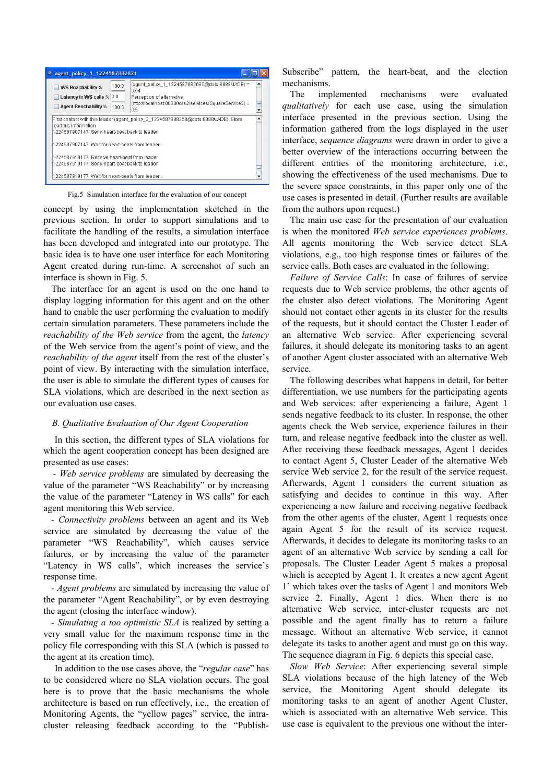|                                                 | agent_policy_1_1224587882821 |                                                                                     |   |
|-------------------------------------------------|------------------------------|-------------------------------------------------------------------------------------|---|
| <b>WS Reachability %</b>                        | 100.0                        | (agent_policy_1_1224587882680@data:8888/JADE) =                                     |   |
| Latency in WS calls %                           | 0.0                          | 0.54<br>Perception of alternative                                                   |   |
| <b>Agent Reachability %</b>                     | 100.0                        | l(http://localhost:8080/axis2/services/SquareService2) =                            | ≣ |
|                                                 |                              | 0.5                                                                                 |   |
|                                                 |                              | First contact with this leader (agent_policy_3_1224587888258@data:8888JJADE). Store |   |
| leader's information                            |                              |                                                                                     |   |
| 1224587907147; Send heart-heat back to leader.  |                              |                                                                                     |   |
|                                                 |                              | 1224587907147: Wait for heart-beats from leader                                     |   |
|                                                 |                              |                                                                                     |   |
|                                                 |                              |                                                                                     |   |
| 1224587919177: Receive heart-beat from leader   |                              |                                                                                     |   |
| 1224587919177; Send heart-beat back to leader.  |                              |                                                                                     |   |
| 1224587919177: Wait for heart-beats from leader |                              |                                                                                     |   |

#### Fig.5 Simulation interface for the evaluation of our concept

concept by using the implementation sketched in the previous section. In order to support simulations and to facilitate the handling of the results, a simulation interface has been developed and integrated into our prototype. The basic idea is to have one user interface for each Monitoring Agent created during run-time. A screenshot of such an interface is shown in Fig. 5.

The interface for an agent is used on the one hand to display logging information for this agent and on the other hand to enable the user performing the evaluation to modify certain simulation parameters. These parameters include the *reachability of the Web service* from the agent, the *latency* of the Web service from the agent's point of view, and the *reachability of the agent* itself from the rest of the cluster's point of view. By interacting with the simulation interface, the user is able to simulate the different types of causes for SLA violations, which are described in the next section as our evaluation use cases.

# *B. Qualitative Evaluation of Our Agent Cooperation*

In this section, the different types of SLA violations for which the agent cooperation concept has been designed are presented as use cases:

*- Web service problems* are simulated by decreasing the value of the parameter "WS Reachability" or by increasing the value of the parameter "Latency in WS calls" for each agent monitoring this Web service.

*- Connectivity problems* between an agent and its Web service are simulated by decreasing the value of the parameter "WS Reachability", which causes service failures, or by increasing the value of the parameter "Latency in WS calls", which increases the service's response time.

*- Agent problems* are simulated by increasing the value of the parameter "Agent Reachability", or by even destroying the agent (closing the interface window).

*- Simulating a too optimistic SLA* is realized by setting a very small value for the maximum response time in the policy file corresponding with this SLA (which is passed to the agent at its creation time).

In addition to the use cases above, the "*regular case*" has to be considered where no SLA violation occurs. The goal here is to prove that the basic mechanisms the whole architecture is based on run effectively, i.e., the creation of Monitoring Agents, the "yellow pages" service, the intracluster releasing feedback according to the "Publish-

Subscribe" pattern, the heart-beat, and the election mechanisms.

The implemented mechanisms were evaluated *qualitatively* for each use case, using the simulation interface presented in the previous section. Using the information gathered from the logs displayed in the user interface, *sequence diagrams* were drawn in order to give a better overview of the interactions occurring between the different entities of the monitoring architecture, i.e., showing the effectiveness of the used mechanisms. Due to the severe space constraints, in this paper only one of the use cases is presented in detail. (Further results are available from the authors upon request.)

The main use case for the presentation of our evaluation is when the monitored *Web service experiences problems*. All agents monitoring the Web service detect SLA violations, e.g., too high response times or failures of the service calls. Both cases are evaluated in the following:

*Failure of Service Calls*: In case of failures of service requests due to Web service problems, the other agents of the cluster also detect violations. The Monitoring Agent should not contact other agents in its cluster for the results of the requests, but it should contact the Cluster Leader of an alternative Web service. After experiencing several failures, it should delegate its monitoring tasks to an agent of another Agent cluster associated with an alternative Web service.

The following describes what happens in detail, for better differentiation, we use numbers for the participating agents and Web services: after experiencing a failure, Agent 1 sends negative feedback to its cluster. In response, the other agents check the Web service, experience failures in their turn, and release negative feedback into the cluster as well. After receiving these feedback messages, Agent 1 decides to contact Agent 5, Cluster Leader of the alternative Web service Web service 2, for the result of the service request. Afterwards, Agent 1 considers the current situation as satisfying and decides to continue in this way. After experiencing a new failure and receiving negative feedback from the other agents of the cluster, Agent 1 requests once again Agent 5 for the result of its service request. Afterwards, it decides to delegate its monitoring tasks to an agent of an alternative Web service by sending a call for proposals. The Cluster Leader Agent 5 makes a proposal which is accepted by Agent 1. It creates a new agent Agent 1' which takes over the tasks of Agent 1 and monitors Web service 2. Finally, Agent 1 dies. When there is no alternative Web service, inter-cluster requests are not possible and the agent finally has to return a failure message. Without an alternative Web service, it cannot delegate its tasks to another agent and must go on this way. The sequence diagram in Fig. 6 depicts this special case.

*Slow Web Service*: After experiencing several simple SLA violations because of the high latency of the Web service, the Monitoring Agent should delegate its monitoring tasks to an agent of another Agent Cluster, which is associated with an alternative Web service. This use case is equivalent to the previous one without the inter-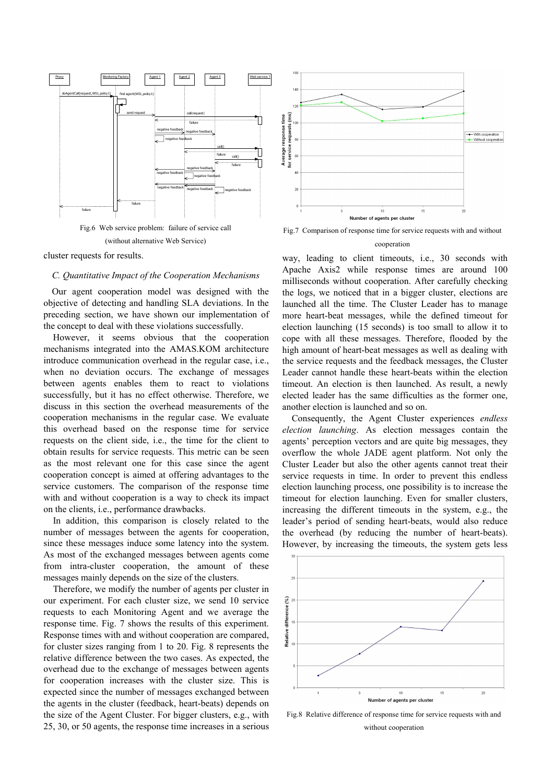

cluster requests for results.

## *C. Quantitative Impact of the Cooperation Mechanisms*

Our agent cooperation model was designed with the objective of detecting and handling SLA deviations. In the preceding section, we have shown our implementation of the concept to deal with these violations successfully.

However, it seems obvious that the cooperation mechanisms integrated into the AMAS.KOM architecture introduce communication overhead in the regular case, i.e., when no deviation occurs. The exchange of messages between agents enables them to react to violations successfully, but it has no effect otherwise. Therefore, we discuss in this section the overhead measurements of the cooperation mechanisms in the regular case. We evaluate this overhead based on the response time for service requests on the client side, i.e., the time for the client to obtain results for service requests. This metric can be seen as the most relevant one for this case since the agent cooperation concept is aimed at offering advantages to the service customers. The comparison of the response time with and without cooperation is a way to check its impact on the clients, i.e., performance drawbacks.

In addition, this comparison is closely related to the number of messages between the agents for cooperation, since these messages induce some latency into the system. As most of the exchanged messages between agents come from intra-cluster cooperation, the amount of these messages mainly depends on the size of the clusters.

Therefore, we modify the number of agents per cluster in our experiment. For each cluster size, we send 10 service requests to each Monitoring Agent and we average the response time. Fig. 7 shows the results of this experiment. Response times with and without cooperation are compared, for cluster sizes ranging from 1 to 20. Fig. 8 represents the relative difference between the two cases. As expected, the overhead due to the exchange of messages between agents for cooperation increases with the cluster size. This is expected since the number of messages exchanged between the agents in the cluster (feedback, heart-beats) depends on the size of the Agent Cluster. For bigger clusters, e.g., with 25, 30, or 50 agents, the response time increases in a serious



Fig.7 Comparison of response time for service requests with and without cooperation

way, leading to client timeouts, i.e., 30 seconds with Apache Axis2 while response times are around 100 milliseconds without cooperation. After carefully checking the logs, we noticed that in a bigger cluster, elections are launched all the time. The Cluster Leader has to manage more heart-beat messages, while the defined timeout for election launching (15 seconds) is too small to allow it to cope with all these messages. Therefore, flooded by the high amount of heart-beat messages as well as dealing with the service requests and the feedback messages, the Cluster Leader cannot handle these heart-beats within the election timeout. An election is then launched. As result, a newly elected leader has the same difficulties as the former one, another election is launched and so on.

Consequently, the Agent Cluster experiences *endless election launching*. As election messages contain the agents' perception vectors and are quite big messages, they overflow the whole JADE agent platform. Not only the Cluster Leader but also the other agents cannot treat their service requests in time. In order to prevent this endless election launching process, one possibility is to increase the timeout for election launching. Even for smaller clusters, increasing the different timeouts in the system, e.g., the leader's period of sending heart-beats, would also reduce the overhead (by reducing the number of heart-beats). However, by increasing the timeouts, the system gets less



Fig.8 Relative difference of response time for service requests with and without cooperation